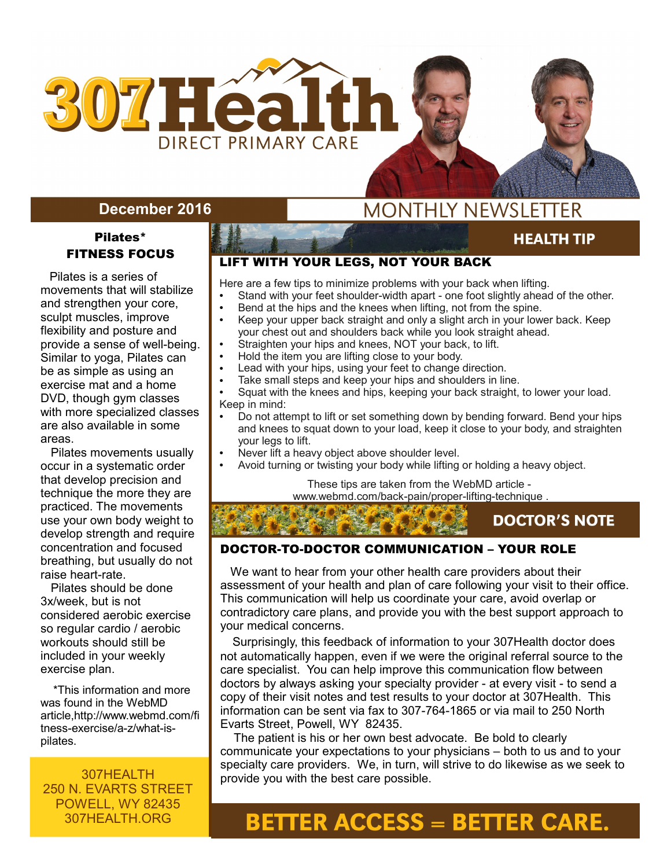

### **December 2016**

### Pilates\* FITNESS FOCUS

 Pilates is a series of movements that will stabilize and strengthen your core, sculpt muscles, improve flexibility and posture and provide a sense of well-being. Similar to yoga, Pilates can be as simple as using an exercise mat and a home DVD, though gym classes with more specialized classes are also available in some areas.

 Pilates movements usually occur in a systematic order that develop precision and technique the more they are practiced. The movements use your own body weight to develop strength and require concentration and focused breathing, but usually do not raise heart-rate.

 Pilates should be done 3x/week, but is not considered aerobic exercise so regular cardio / aerobic workouts should still be included in your weekly exercise plan.

 \*This information and more was found in the WebMD article,http://www.webmd.com/fi tness-exercise/a-z/what-ispilates.

307HEALTH 250 N. EVARTS STREET POWELL, WY 82435 307HEALTH.ORG

I

# **MONTHLY NEWSLETTER**

### **HEALTH TIP**

**AUGUST 2015** 

### LIFT WITH YOUR LEGS, NOT YOUR BACK

Here are a few tips to minimize problems with your back when lifting.

- Stand with your feet shoulder-width apart one foot slightly ahead of the other.
- Bend at the hips and the knees when lifting, not from the spine.<br>• Keep your upper back straight and only a slight arch in your low Keep your upper back straight and only a slight arch in your lower back. Keep
- your chest out and shoulders back while you look straight ahead.
- Straighten your hips and knees, NOT your back, to lift.
- Hold the item you are lifting close to your body.
- Lead with your hips, using your feet to change direction.
- Take small steps and keep your hips and shoulders in line.
- Squat with the knees and hips, keeping your back straight, to lower your load. Keep in mind:
- Do not attempt to lift or set something down by bending forward. Bend your hips and knees to squat down to your load, keep it close to your body, and straighten your legs to lift.
- Never lift a heavy object above shoulder level.
- Avoid turning or twisting your body while lifting or holding a heavy object.

These tips are taken from the WebMD article [www.webmd.com/back-pain/proper-lifting-technique](http://www.webmd.com/back-pain/proper-lifting-technique) .

### **DOCTOR'S NOTE**

### DOCTOR-TO-DOCTOR COMMUNICATION – YOUR ROLE

 We want to hear from your other health care providers about their assessment of your health and plan of care following your visit to their office. This communication will help us coordinate your care, avoid overlap or contradictory care plans, and provide you with the best support approach to your medical concerns.

 Surprisingly, this feedback of information to your 307Health doctor does not automatically happen, even if we were the original referral source to the care specialist. You can help improve this communication flow between doctors by always asking your specialty provider - at every visit - to send a copy of their visit notes and test results to your doctor at 307Health. This information can be sent via fax to 307-764-1865 or via mail to 250 North Evarts Street, Powell, WY 82435.

 The patient is his or her own best advocate. Be bold to clearly communicate your expectations to your physicians – both to us and to your specialty care providers. We, in turn, will strive to do likewise as we seek to provide you with the best care possible.

# **BETTER ACCESS = BETTER CARE.**